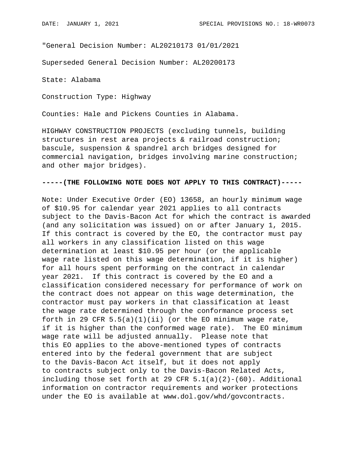"General Decision Number: AL20210173 01/01/2021

Superseded General Decision Number: AL20200173

State: Alabama

Construction Type: Highway

Counties: Hale and Pickens Counties in Alabama.

HIGHWAY CONSTRUCTION PROJECTS (excluding tunnels, building structures in rest area projects & railroad construction; bascule, suspension & spandrel arch bridges designed for commercial navigation, bridges involving marine construction; and other major bridges).

## **-----(THE FOLLOWING NOTE DOES NOT APPLY TO THIS CONTRACT)-----**

Note: Under Executive Order (EO) 13658, an hourly minimum wage of \$10.95 for calendar year 2021 applies to all contracts subject to the Davis-Bacon Act for which the contract is awarded (and any solicitation was issued) on or after January 1, 2015. If this contract is covered by the EO, the contractor must pay all workers in any classification listed on this wage determination at least \$10.95 per hour (or the applicable wage rate listed on this wage determination, if it is higher) for all hours spent performing on the contract in calendar year 2021. If this contract is covered by the EO and a classification considered necessary for performance of work on the contract does not appear on this wage determination, the contractor must pay workers in that classification at least the wage rate determined through the conformance process set forth in 29 CFR  $5.5(a)(1)(ii)$  (or the EO minimum wage rate, if it is higher than the conformed wage rate). The EO minimum wage rate will be adjusted annually. Please note that this EO applies to the above-mentioned types of contracts entered into by the federal government that are subject to the Davis-Bacon Act itself, but it does not apply to contracts subject only to the Davis-Bacon Related Acts, including those set forth at 29 CFR  $5.1(a)(2)-(60)$ . Additional information on contractor requirements and worker protections under the EO is available at www.dol.gov/whd/govcontracts.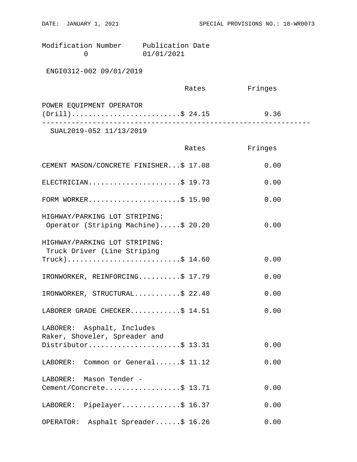Modification Number Publication Date 0 01/01/2021

ENGI0312-002 09/01/2019

|                          | Rates | Fringes |  |
|--------------------------|-------|---------|--|
| POWER EQUIPMENT OPERATOR |       |         |  |
| $(Drill)$ \$ 24.15       |       | 9.36    |  |
|                          |       |         |  |

SUAL2019-052 11/13/2019

|                                                                                    | Rates | Fringes |
|------------------------------------------------------------------------------------|-------|---------|
| CEMENT MASON/CONCRETE FINISHER\$ 17.08                                             |       | 0.00    |
| ELECTRICIAN\$ 19.73                                                                |       | 0.00    |
| FORM WORKER\$ 15.90                                                                |       | 0.00    |
| HIGHWAY/PARKING LOT STRIPING:<br>Operator (Striping Machine)\$ 20.20               |       | 0.00    |
| HIGHWAY/PARKING LOT STRIPING:<br>Truck Driver (Line Striping<br>$True k)$ \$ 14.60 |       | 0.00    |
| IRONWORKER, REINFORCING\$ 17.79                                                    |       | 0.00    |
| IRONWORKER, STRUCTURAL\$ 22.40                                                     |       | 0.00    |
| LABORER GRADE CHECKER\$ 14.51                                                      |       | 0.00    |
| LABORER: Asphalt, Includes<br>Raker, Shoveler, Spreader and<br>Distributor\$ 13.31 |       | 0.00    |
| LABORER: Common or General\$ 11.12                                                 |       | 0.00    |
| LABORER: Mason Tender -<br>Cement/Concrete\$ 13.71                                 |       | 0.00    |
| LABORER: Pipelayer\$ 16.37                                                         |       | 0.00    |
| Asphalt Spreader\$ 16.26<br>OPERATOR:                                              |       | 0.00    |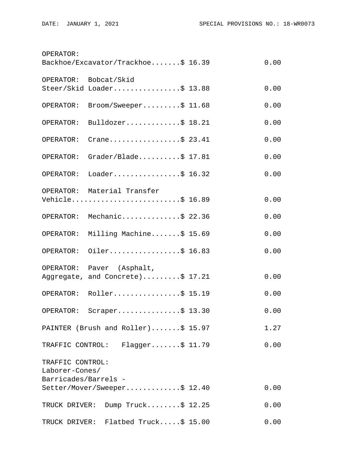| OPERATOR:            |                                     |      |
|----------------------|-------------------------------------|------|
|                      | Backhoe/Excavator/Trackhoe\$ 16.39  | 0.00 |
|                      | OPERATOR: Bobcat/Skid               |      |
|                      | Steer/Skid Loader\$ 13.88           | 0.00 |
| OPERATOR:            | Broom/Sweeper\$ 11.68               | 0.00 |
|                      | OPERATOR: Bulldozer\$ 18.21         | 0.00 |
| OPERATOR:            | Crane\$ 23.41                       | 0.00 |
|                      | OPERATOR: Grader/Blade\$ 17.81      | 0.00 |
| OPERATOR:            | Loader\$ 16.32                      | 0.00 |
|                      | OPERATOR: Material Transfer         |      |
|                      | Vehicle\$ 16.89                     | 0.00 |
|                      | OPERATOR: Mechanic\$ 22.36          | 0.00 |
|                      | OPERATOR: Milling Machine\$ 15.69   | 0.00 |
|                      | OPERATOR: Oiler\$ 16.83             | 0.00 |
|                      | OPERATOR: Paver (Asphalt,           |      |
|                      | Aggregate, and Concrete)\$ 17.21    | 0.00 |
|                      | OPERATOR: Roller\$ 15.19            | 0.00 |
|                      | OPERATOR: Scraper\$ 13.30           | 0.00 |
|                      | PAINTER (Brush and Roller)\$ 15.97  | 1.27 |
|                      | TRAFFIC CONTROL: Flagger\$ 11.79    | 0.00 |
| TRAFFIC CONTROL:     |                                     |      |
| Laborer-Cones/       |                                     |      |
| Barricades/Barrels - |                                     |      |
|                      | Setter/Mover/Sweeper\$ 12.40        | 0.00 |
|                      | TRUCK DRIVER: Dump Truck\$ 12.25    | 0.00 |
|                      | TRUCK DRIVER: Flatbed Truck\$ 15.00 | 0.00 |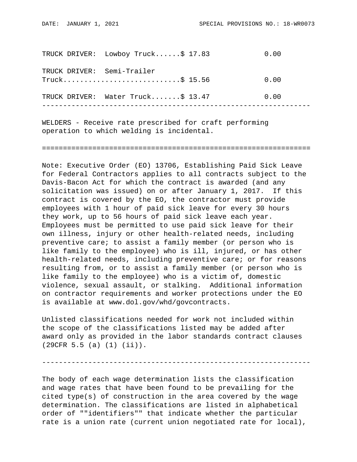|  | TRUCK DRIVER: Lowboy Truck\$ 17.83              | 0.00 |
|--|-------------------------------------------------|------|
|  | TRUCK DRIVER: Semi-Trailer<br>$True k$ \$ 15.56 | 0.00 |
|  | TRUCK DRIVER: Water Truck\$ 13.47               | 0.00 |

WELDERS - Receive rate prescribed for craft performing operation to which welding is incidental.

================================================================

Note: Executive Order (EO) 13706, Establishing Paid Sick Leave for Federal Contractors applies to all contracts subject to the Davis-Bacon Act for which the contract is awarded (and any solicitation was issued) on or after January 1, 2017. If this contract is covered by the EO, the contractor must provide employees with 1 hour of paid sick leave for every 30 hours they work, up to 56 hours of paid sick leave each year. Employees must be permitted to use paid sick leave for their own illness, injury or other health-related needs, including preventive care; to assist a family member (or person who is like family to the employee) who is ill, injured, or has other health-related needs, including preventive care; or for reasons resulting from, or to assist a family member (or person who is like family to the employee) who is a victim of, domestic violence, sexual assault, or stalking. Additional information on contractor requirements and worker protections under the EO is available at www.dol.gov/whd/govcontracts.

Unlisted classifications needed for work not included within the scope of the classifications listed may be added after award only as provided in the labor standards contract clauses (29CFR 5.5 (a) (1) (ii)).

The body of each wage determination lists the classification and wage rates that have been found to be prevailing for the cited type(s) of construction in the area covered by the wage determination. The classifications are listed in alphabetical order of ""identifiers"" that indicate whether the particular rate is a union rate (current union negotiated rate for local),

----------------------------------------------------------------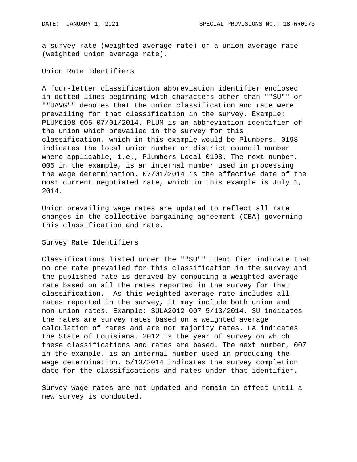a survey rate (weighted average rate) or a union average rate (weighted union average rate).

Union Rate Identifiers

A four-letter classification abbreviation identifier enclosed in dotted lines beginning with characters other than ""SU"" or ""UAVG"" denotes that the union classification and rate were prevailing for that classification in the survey. Example: PLUM0198-005 07/01/2014. PLUM is an abbreviation identifier of the union which prevailed in the survey for this classification, which in this example would be Plumbers. 0198 indicates the local union number or district council number where applicable, i.e., Plumbers Local 0198. The next number, 005 in the example, is an internal number used in processing the wage determination. 07/01/2014 is the effective date of the most current negotiated rate, which in this example is July 1, 2014.

Union prevailing wage rates are updated to reflect all rate changes in the collective bargaining agreement (CBA) governing this classification and rate.

Survey Rate Identifiers

Classifications listed under the ""SU"" identifier indicate that no one rate prevailed for this classification in the survey and the published rate is derived by computing a weighted average rate based on all the rates reported in the survey for that classification. As this weighted average rate includes all rates reported in the survey, it may include both union and non-union rates. Example: SULA2012-007 5/13/2014. SU indicates the rates are survey rates based on a weighted average calculation of rates and are not majority rates. LA indicates the State of Louisiana. 2012 is the year of survey on which these classifications and rates are based. The next number, 007 in the example, is an internal number used in producing the wage determination. 5/13/2014 indicates the survey completion date for the classifications and rates under that identifier.

Survey wage rates are not updated and remain in effect until a new survey is conducted.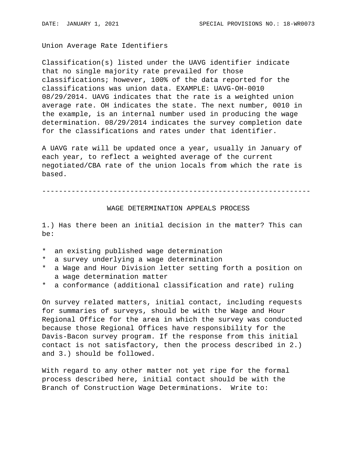Union Average Rate Identifiers

Classification(s) listed under the UAVG identifier indicate that no single majority rate prevailed for those classifications; however, 100% of the data reported for the classifications was union data. EXAMPLE: UAVG-OH-0010 08/29/2014. UAVG indicates that the rate is a weighted union average rate. OH indicates the state. The next number, 0010 in the example, is an internal number used in producing the wage determination. 08/29/2014 indicates the survey completion date for the classifications and rates under that identifier.

A UAVG rate will be updated once a year, usually in January of each year, to reflect a weighted average of the current negotiated/CBA rate of the union locals from which the rate is based.

----------------------------------------------------------------

## WAGE DETERMINATION APPEALS PROCESS

1.) Has there been an initial decision in the matter? This can be:

- \* an existing published wage determination
- \* a survey underlying a wage determination
- \* a Wage and Hour Division letter setting forth a position on a wage determination matter
- \* a conformance (additional classification and rate) ruling

On survey related matters, initial contact, including requests for summaries of surveys, should be with the Wage and Hour Regional Office for the area in which the survey was conducted because those Regional Offices have responsibility for the Davis-Bacon survey program. If the response from this initial contact is not satisfactory, then the process described in 2.) and 3.) should be followed.

With regard to any other matter not yet ripe for the formal process described here, initial contact should be with the Branch of Construction Wage Determinations. Write to: